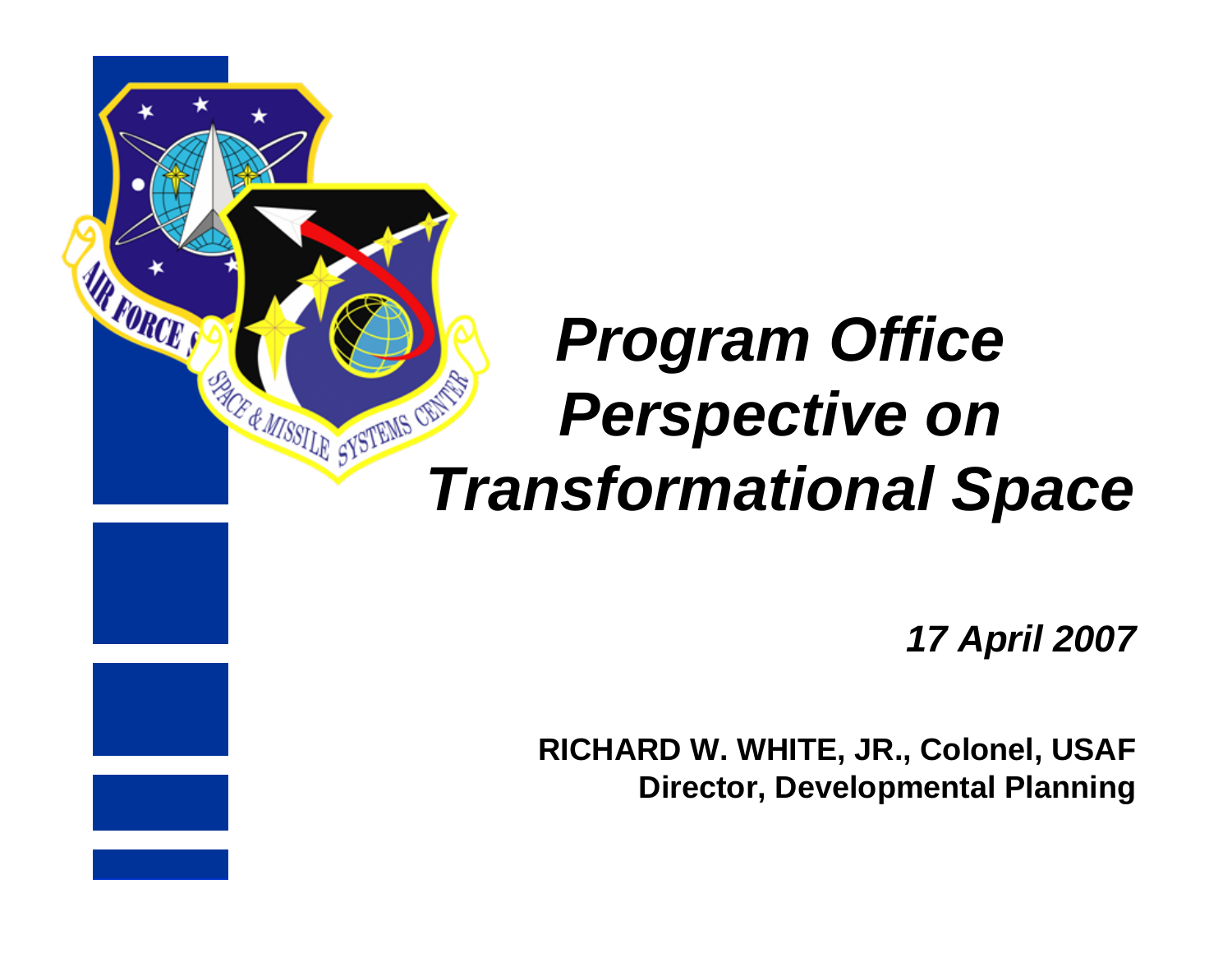

# *Program Office Perspective on*  **Perspective on Transformational Space**

*17 April 2007*

**RICHARD W. WHITE, JR., Colonel, USAF Director, Developmental Planning**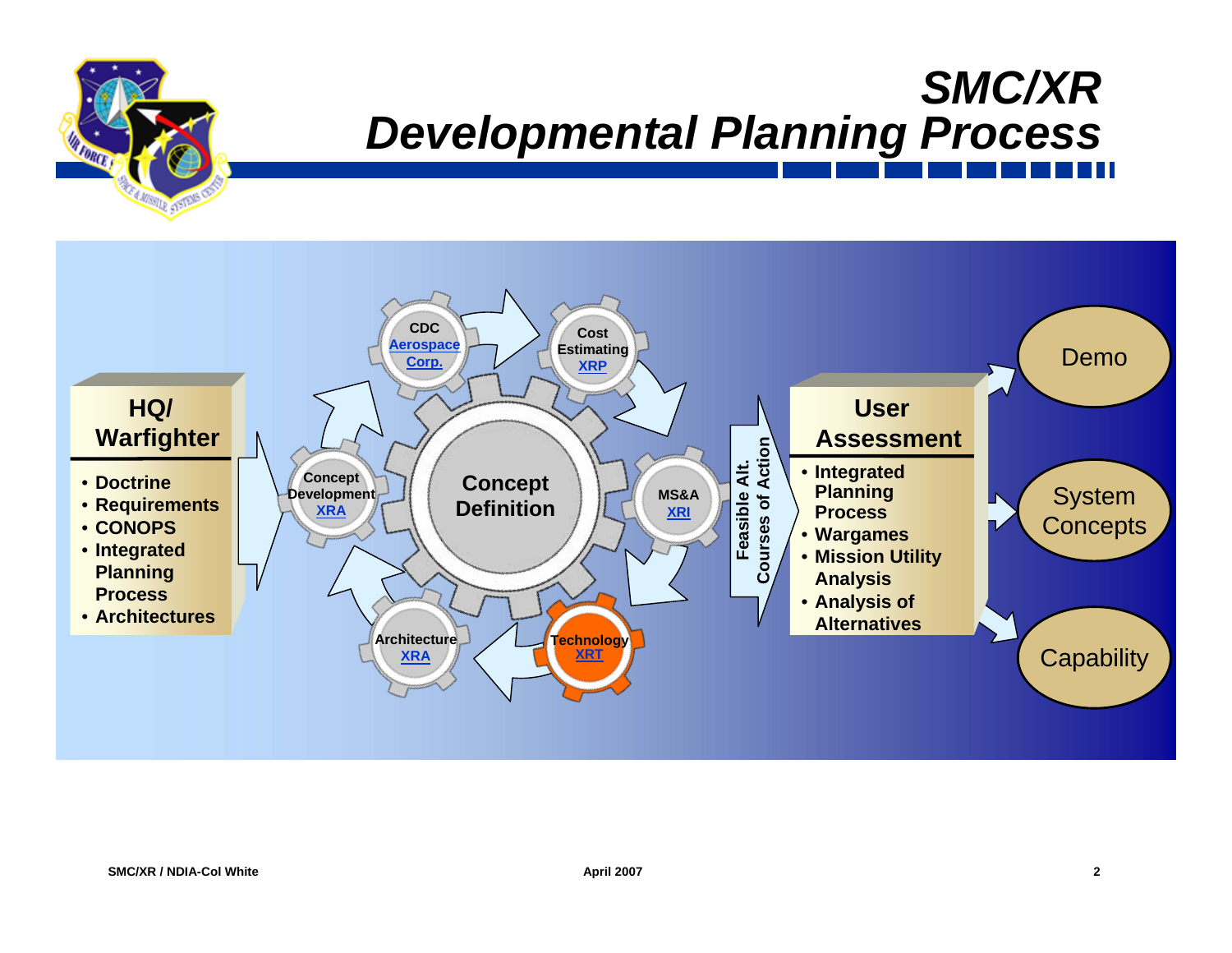### *SMC/XR Developmental Planning Process*



**FORCE**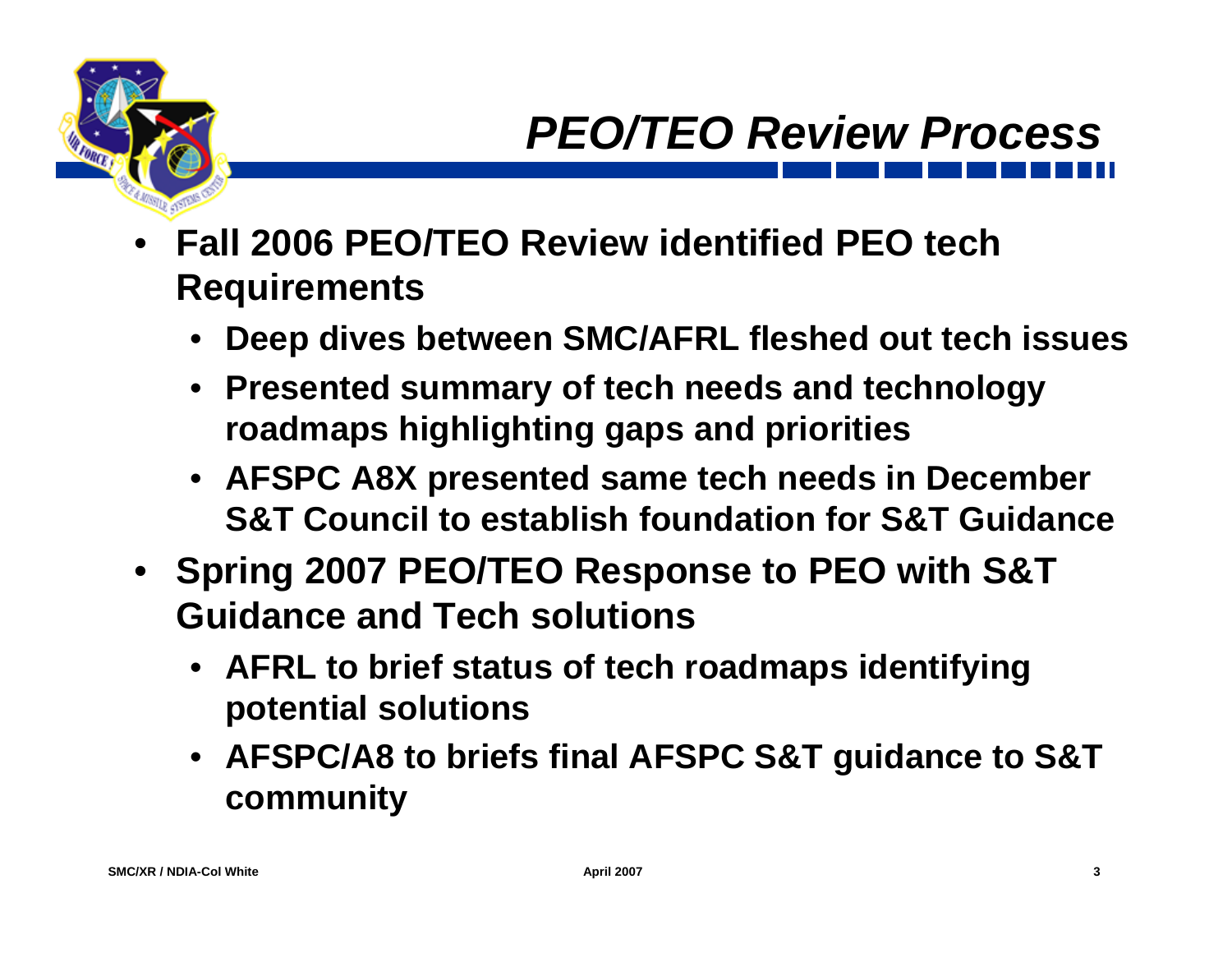- **Fall 2006 PEO/TEO Review identified PEO tech Requirements**
	- **Deep dives between SMC/AFRL fleshed out tech issues**
	- **Presented summary of tech needs and technology roadmaps highlighting gaps and priorities**
	- **AFSPC A8X presented same tech needs in December S&T Council to establish foundation for S&T Guidance**
- **Spring 2007 PEO/TEO Response to PEO with S&T Guidance and Tech solutions** 
	- **AFRL to brief status of tech roadmaps identifying potential solutions**
	- **AFSPC/A8 to briefs final AFSPC S&T guidance to S&T community**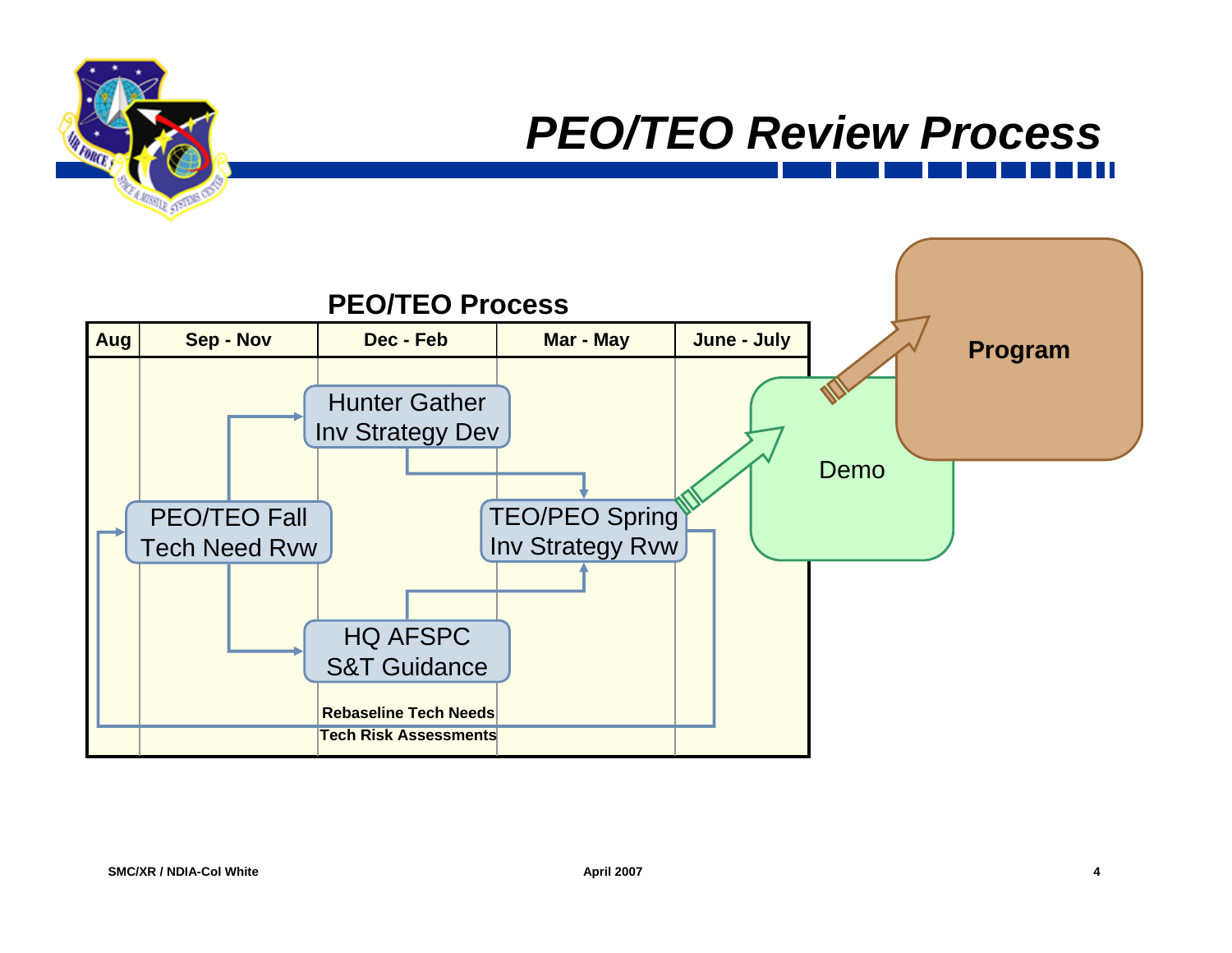#### *PEO/TEO Review Process*

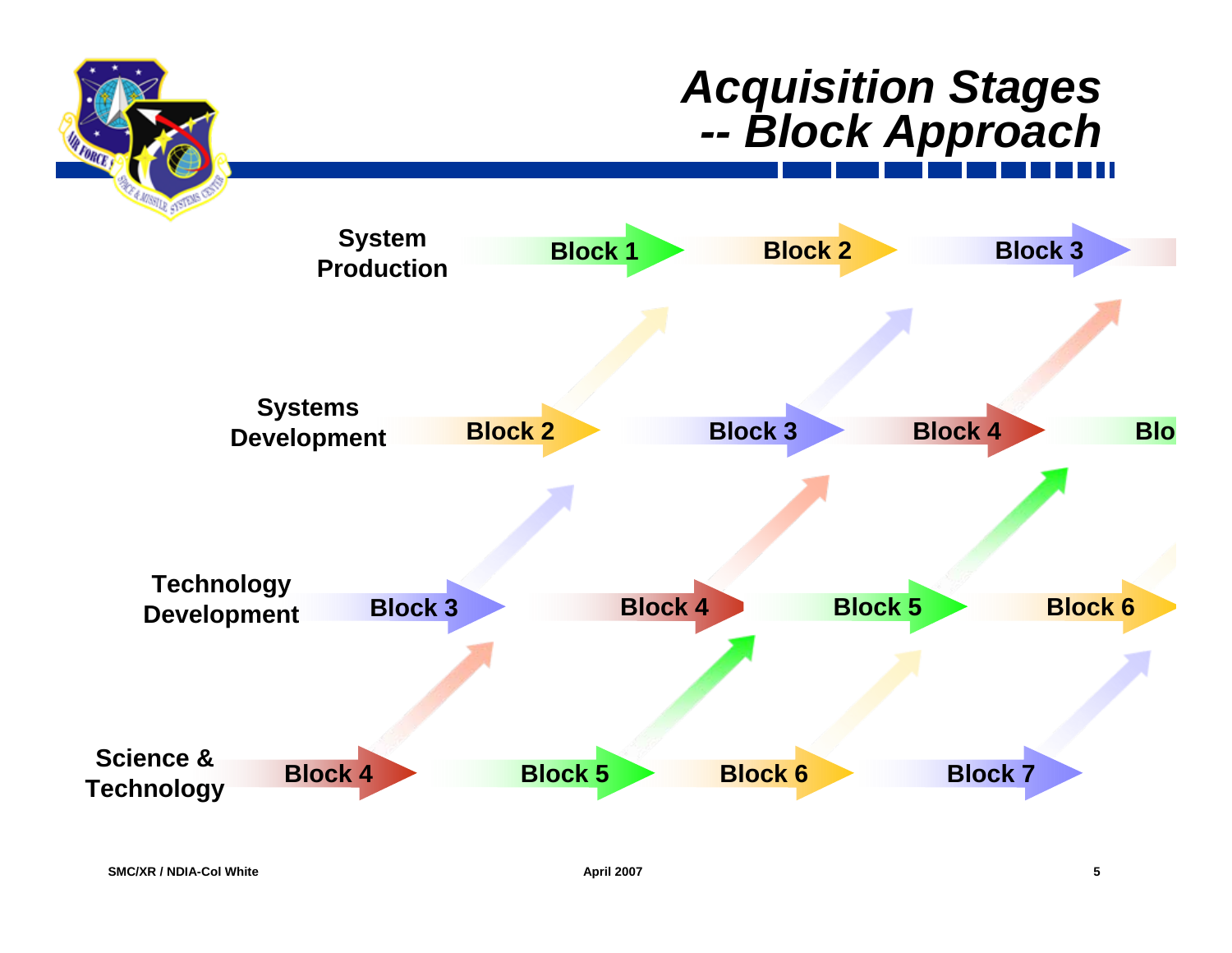#### *Acquisition Stages -- Block Approach*

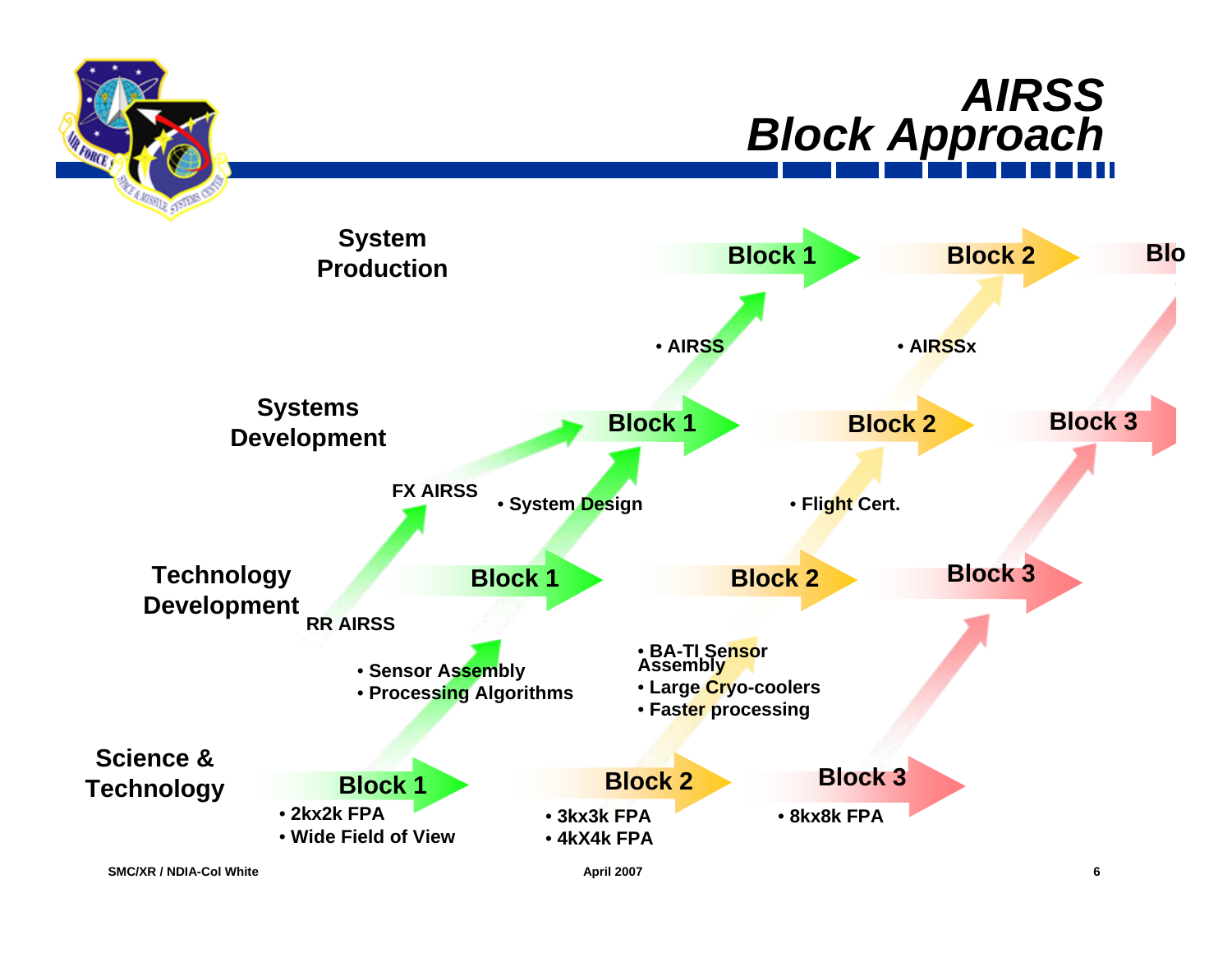



**SMC/XR / NDIA-Col White**

**LOROP** 

**April 2007 6**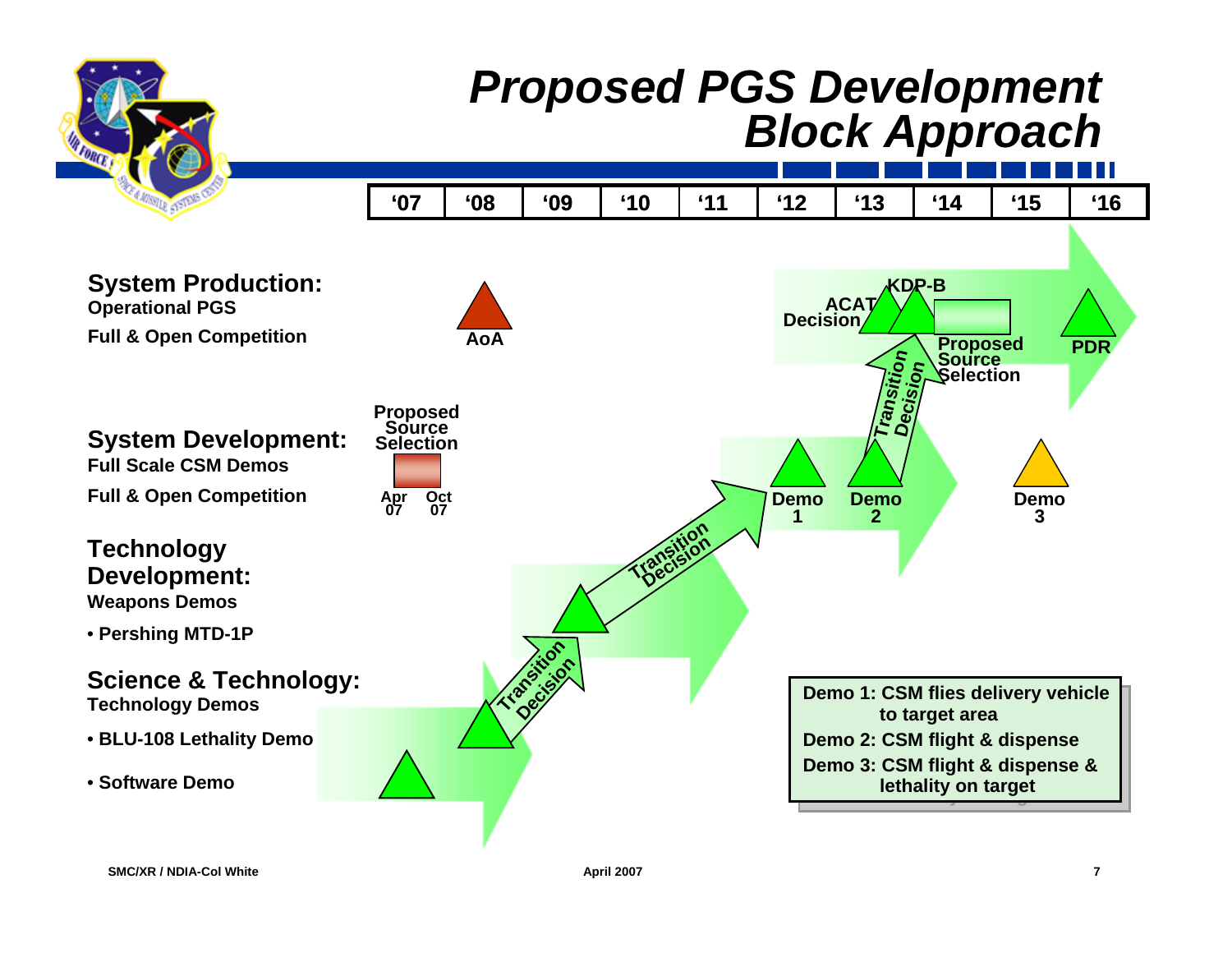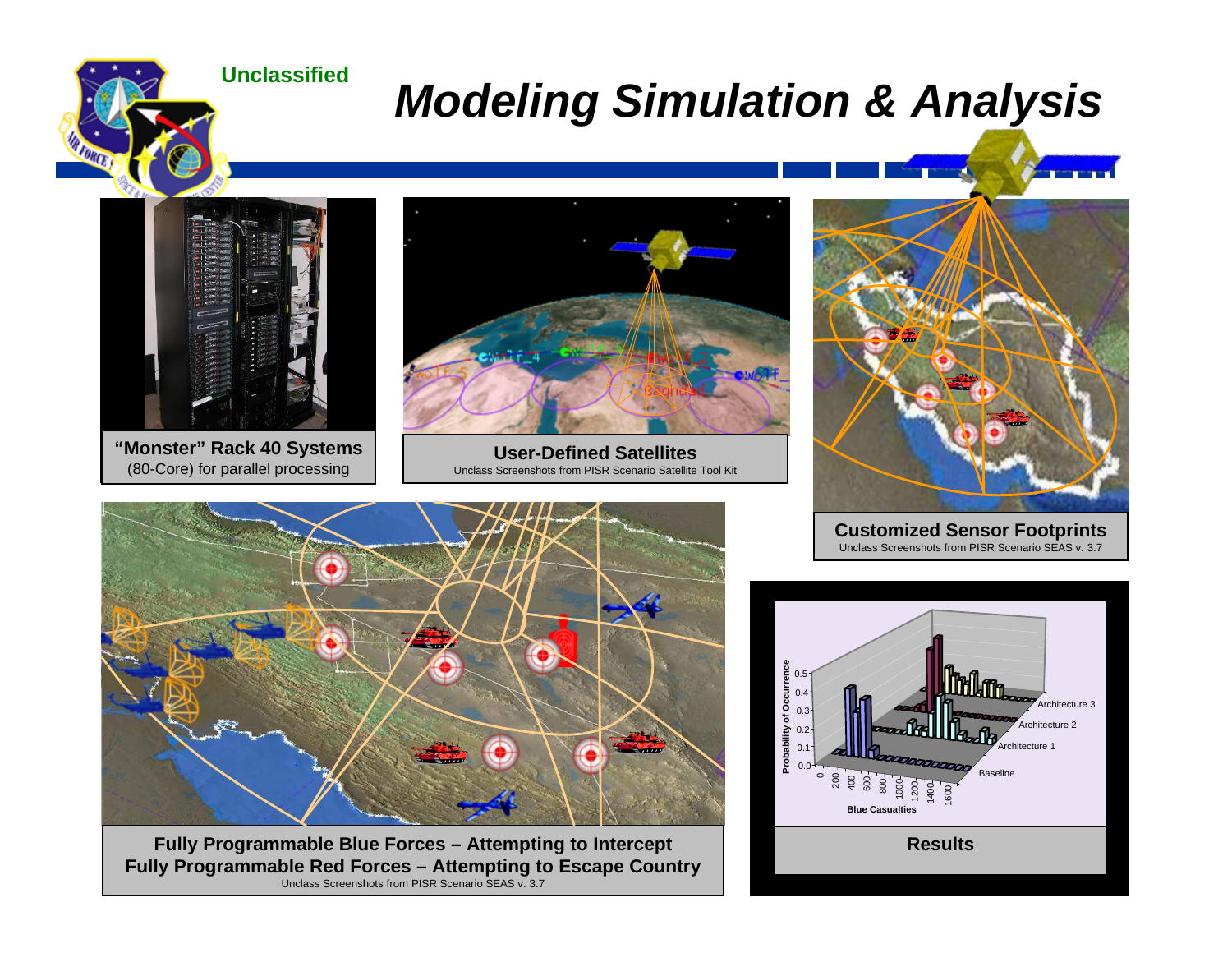**Unclassified**

## *Modeling Simulation & Analysis*



*FORCE* 

**"Monster" Rack 40 Systems** (80-Core) for parallel processing



**User-Defined Satellites**Unclass Screenshots from PISR Scenario Satellite Tool Kit



**Customized Sensor Footprints** Unclass Screenshots from PISR Scenario SEAS v. 3.7



**SMC/XR / NDIA-Col White April 2007 8 Fully Programmable Red Forces – Attempting to Escape Country Fully Programmable Blue Forces – Attempting to Intercept** Unclass Screenshots from PISR Scenario SEAS v. 3.7